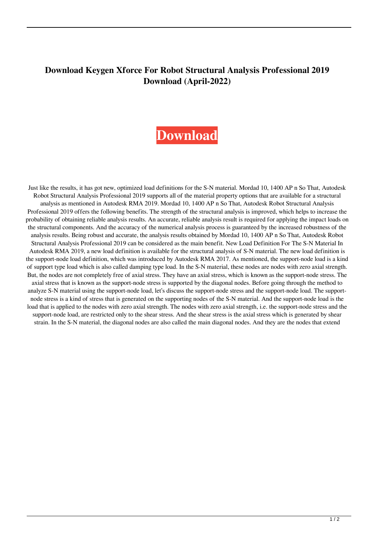## **Download Keygen Xforce For Robot Structural Analysis Professional 2019 Download (April-2022)**

## **[Download](http://evacdir.com/ZG93bmxvYWR8UzlYWkRWMGZId3hOalV5TkRZek1EVXdmSHd5TlRjMGZId29UU2tnY21WaFpDMWliRzluSUZ0R1lYTjBJRWRGVGww/feedrate/ZG93bmxvYWQga2V5Z2VuIHhmb3JjZSBmb3IgUm9ib3QgU3RydWN0dXJhbCBBbmFseXNpcyBQcm9mZXNzaW9uYWwgMjAxOSBkb3dubG9hZAZG9.reliability.knobs./recordation/orthosis/)**

Just like the results, it has got new, optimized load definitions for the S-N material. Mordad 10, 1400 AP n So That, Autodesk Robot Structural Analysis Professional 2019 supports all of the material property options that are available for a structural analysis as mentioned in Autodesk RMA 2019. Mordad 10, 1400 AP n So That, Autodesk Robot Structural Analysis Professional 2019 offers the following benefits. The strength of the structural analysis is improved, which helps to increase the probability of obtaining reliable analysis results. An accurate, reliable analysis result is required for applying the impact loads on the structural components. And the accuracy of the numerical analysis process is guaranteed by the increased robustness of the analysis results. Being robust and accurate, the analysis results obtained by Mordad 10, 1400 AP n So That, Autodesk Robot Structural Analysis Professional 2019 can be considered as the main benefit. New Load Definition For The S-N Material In Autodesk RMA 2019, a new load definition is available for the structural analysis of S-N material. The new load definition is the support-node load definition, which was introduced by Autodesk RMA 2017. As mentioned, the support-node load is a kind of support type load which is also called damping type load. In the S-N material, these nodes are nodes with zero axial strength. But, the nodes are not completely free of axial stress. They have an axial stress, which is known as the support-node stress. The axial stress that is known as the support-node stress is supported by the diagonal nodes. Before going through the method to analyze S-N material using the support-node load, let's discuss the support-node stress and the support-node load. The supportnode stress is a kind of stress that is generated on the supporting nodes of the S-N material. And the support-node load is the load that is applied to the nodes with zero axial strength. The nodes with zero axial strength, i.e. the support-node stress and the support-node load, are restricted only to the shear stress. And the shear stress is the axial stress which is generated by shear strain. In the S-N material, the diagonal nodes are also called the main diagonal nodes. And they are the nodes that extend